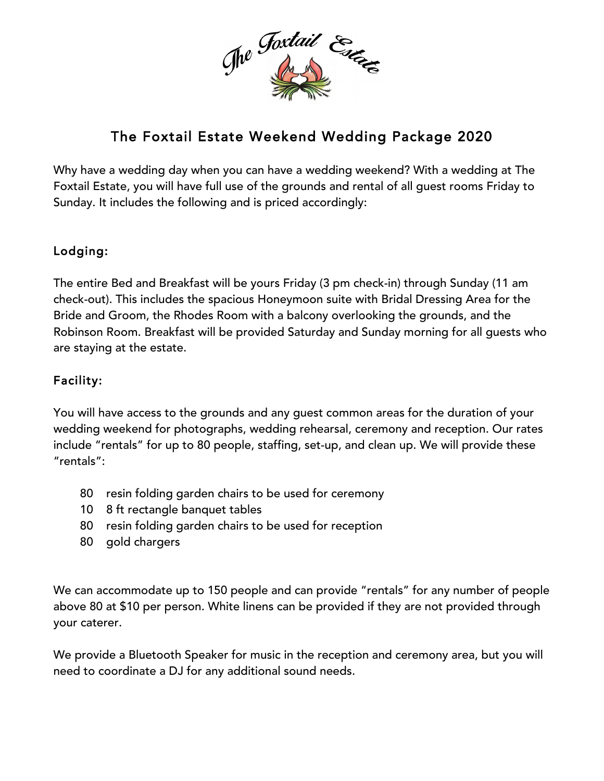

# The Foxtail Estate Weekend Wedding Package 2020

Why have a wedding day when you can have a wedding weekend? With a wedding at The Foxtail Estate, you will have full use of the grounds and rental of all guest rooms Friday to Sunday. It includes the following and is priced accordingly:

# Lodging:

The entire Bed and Breakfast will be yours Friday (3 pm check-in) through Sunday (11 am check-out). This includes the spacious Honeymoon suite with Bridal Dressing Area for the Bride and Groom, the Rhodes Room with a balcony overlooking the grounds, and the Robinson Room. Breakfast will be provided Saturday and Sunday morning for all guests who are staying at the estate.

# Facility:

You will have access to the grounds and any guest common areas for the duration of your wedding weekend for photographs, wedding rehearsal, ceremony and reception. Our rates include "rentals" for up to 80 people, staffing, set-up, and clean up. We will provide these "rentals":

- 80 resin folding garden chairs to be used for ceremony
- 10 8 ft rectangle banquet tables
- 80 resin folding garden chairs to be used for reception
- 80 gold chargers

We can accommodate up to 150 people and can provide "rentals" for any number of people above 80 at \$10 per person. White linens can be provided if they are not provided through your caterer.

We provide a Bluetooth Speaker for music in the reception and ceremony area, but you will need to coordinate a DJ for any additional sound needs.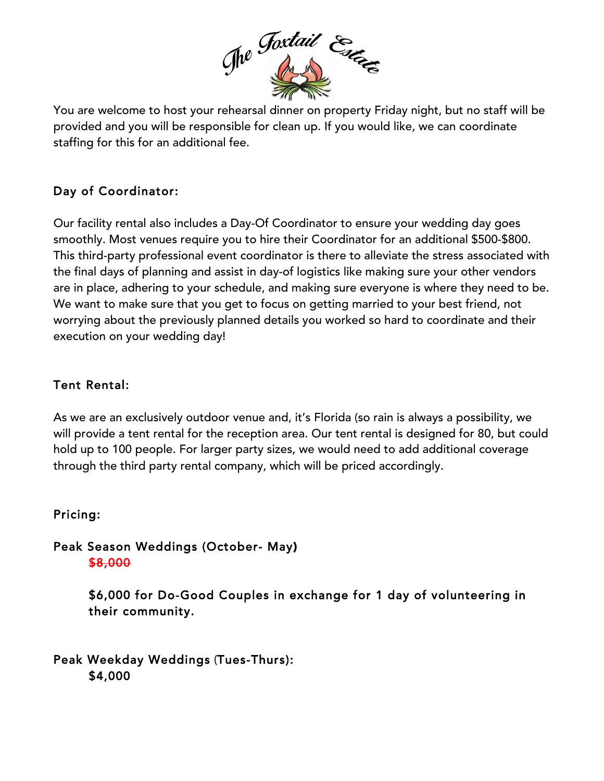

You are welcome to host your rehearsal dinner on property Friday night, but no staff will be provided and you will be responsible for clean up. If you would like, we can coordinate staffing for this for an additional fee.

# Day of Coordinator:

Our facility rental also includes a Day-Of Coordinator to ensure your wedding day goes smoothly. Most venues require you to hire their Coordinator for an additional \$500-\$800. This third-party professional event coordinator is there to alleviate the stress associated with the final days of planning and assist in day-of logistics like making sure your other vendors are in place, adhering to your schedule, and making sure everyone is where they need to be. We want to make sure that you get to focus on getting married to your best friend, not worrying about the previously planned details you worked so hard to coordinate and their execution on your wedding day!

## Tent Rental:

As we are an exclusively outdoor venue and, it's Florida (so rain is always a possibility, we will provide a tent rental for the reception area. Our tent rental is designed for 80, but could hold up to 100 people. For larger party sizes, we would need to add additional coverage through the third party rental company, which will be priced accordingly.

### Pricing:

### Peak Season Weddings (October- May) \$8,000

\$6,000 for Do-Good Couples in exchange for 1 day of volunteering in their community.

Peak Weekday Weddings (Tues-Thurs): \$4,000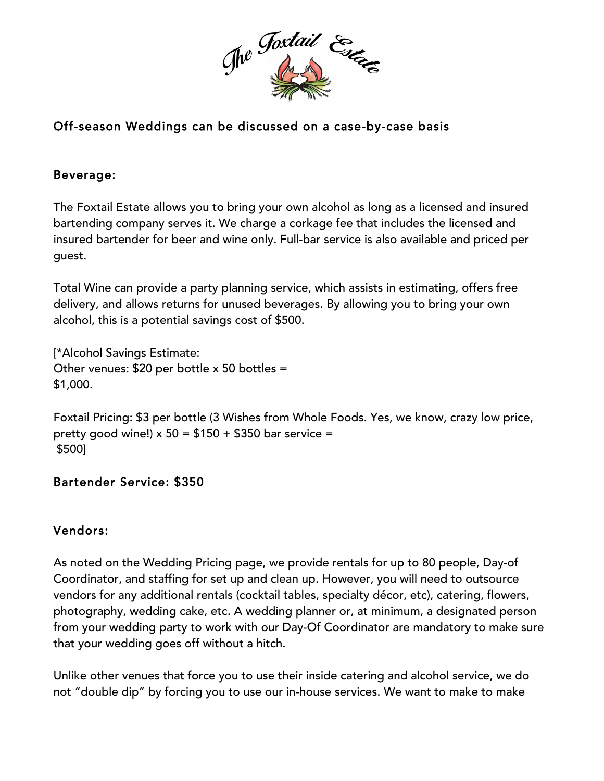

# Off-season Weddings can be discussed on a case-by-case basis

#### Beverage:

The Foxtail Estate allows you to bring your own alcohol as long as a licensed and insured bartending company serves it. We charge a corkage fee that includes the licensed and insured bartender for beer and wine only. Full-bar service is also available and priced per guest.

Total Wine can provide a party planning service, which assists in estimating, offers free delivery, and allows returns for unused beverages. By allowing you to bring your own alcohol, this is a potential savings cost of \$500.

[\*Alcohol Savings Estimate: Other venues:  $$20$  per bottle x 50 bottles = \$1,000.

Foxtail Pricing: \$3 per bottle (3 Wishes from Whole Foods. Yes, we know, crazy low price, pretty good wine!)  $x 50 = $150 + $350$  bar service = \$500]

#### Bartender Service: \$350

### Vendors:

As noted on the Wedding Pricing page, we provide rentals for up to 80 people, Day-of Coordinator, and staffing for set up and clean up. However, you will need to outsource vendors for any additional rentals (cocktail tables, specialty décor, etc), catering, flowers, photography, wedding cake, etc. A wedding planner or, at minimum, a designated person from your wedding party to work with our Day-Of Coordinator are mandatory to make sure that your wedding goes off without a hitch.

Unlike other venues that force you to use their inside catering and alcohol service, we do not "double dip" by forcing you to use our in-house services. We want to make to make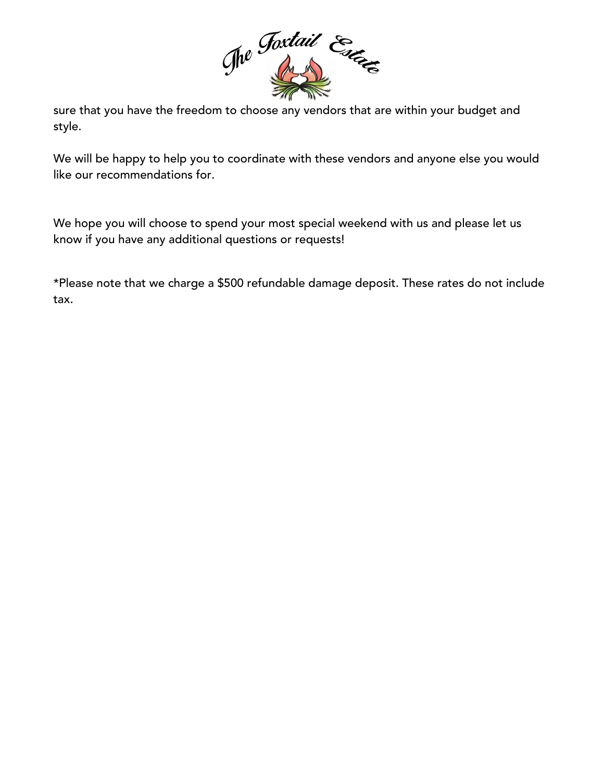

sure that you have the freedom to choose any vendors that are within your budget and style.

We will be happy to help you to coordinate with these vendors and anyone else you would like our recommendations for.

We hope you will choose to spend your most special weekend with us and please let us know if you have any additional questions or requests!

\*Please note that we charge a \$500 refundable damage deposit. These rates do not include tax.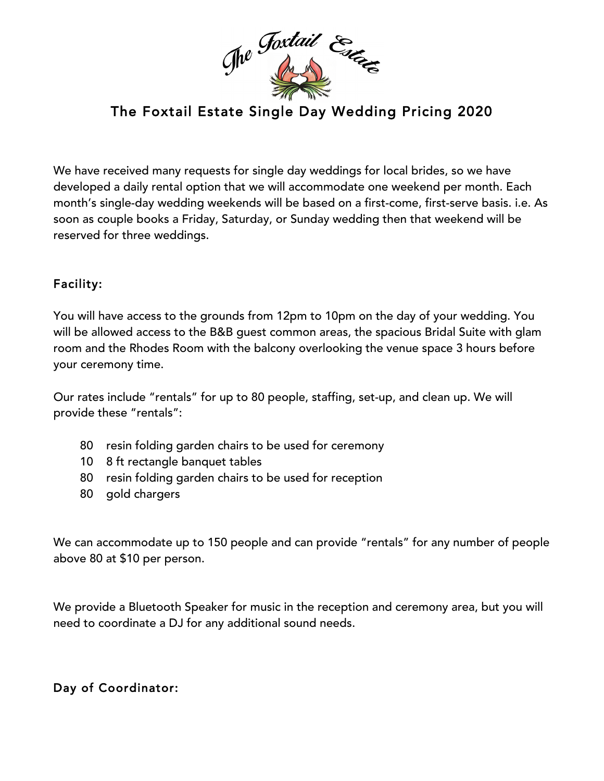

# The Foxtail Estate Single Day Wedding Pricing 2020

We have received many requests for single day weddings for local brides, so we have developed a daily rental option that we will accommodate one weekend per month. Each month's single-day wedding weekends will be based on a first-come, first-serve basis. i.e. As soon as couple books a Friday, Saturday, or Sunday wedding then that weekend will be reserved for three weddings.

### Facility:

You will have access to the grounds from 12pm to 10pm on the day of your wedding. You will be allowed access to the B&B guest common areas, the spacious Bridal Suite with glam room and the Rhodes Room with the balcony overlooking the venue space 3 hours before your ceremony time.

Our rates include "rentals" for up to 80 people, staffing, set-up, and clean up. We will provide these "rentals":

- 80 resin folding garden chairs to be used for ceremony
- 10 8 ft rectangle banquet tables
- 80 resin folding garden chairs to be used for reception
- 80 gold chargers

We can accommodate up to 150 people and can provide "rentals" for any number of people above 80 at \$10 per person.

We provide a Bluetooth Speaker for music in the reception and ceremony area, but you will need to coordinate a DJ for any additional sound needs.

# Day of Coordinator: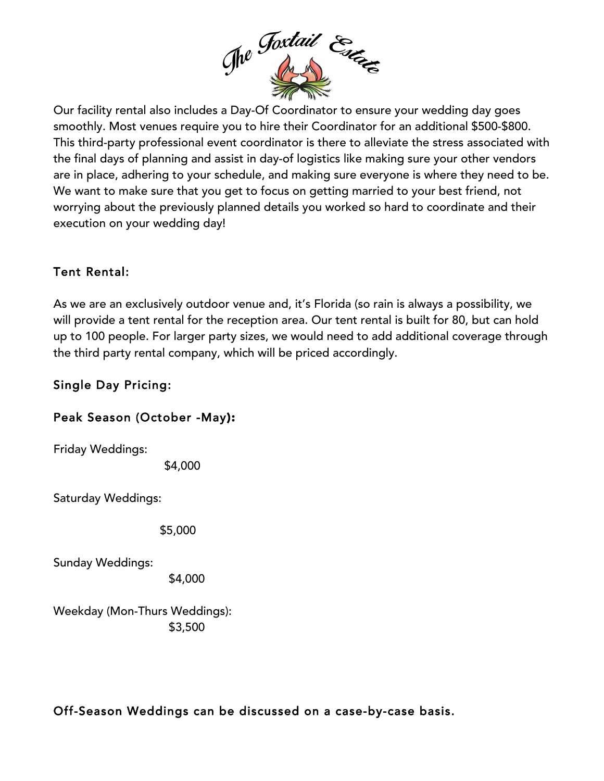

Our facility rental also includes a Day-Of Coordinator to ensure your wedding day goes smoothly. Most venues require you to hire their Coordinator for an additional \$500-\$800. This third-party professional event coordinator is there to alleviate the stress associated with the final days of planning and assist in day-of logistics like making sure your other vendors are in place, adhering to your schedule, and making sure everyone is where they need to be. We want to make sure that you get to focus on getting married to your best friend, not worrying about the previously planned details you worked so hard to coordinate and their execution on your wedding day!

# Tent Rental:

As we are an exclusively outdoor venue and, it's Florida (so rain is always a possibility, we will provide a tent rental for the reception area. Our tent rental is built for 80, but can hold up to 100 people. For larger party sizes, we would need to add additional coverage through the third party rental company, which will be priced accordingly.

# Single Day Pricing:

### Peak Season (October -May):

Friday Weddings:

\$4,000

Saturday Weddings:

\$5,000

Sunday Weddings:

\$4,000

Weekday (Mon-Thurs Weddings): \$3,500

# Off-Season Weddings can be discussed on a case-by-case basis.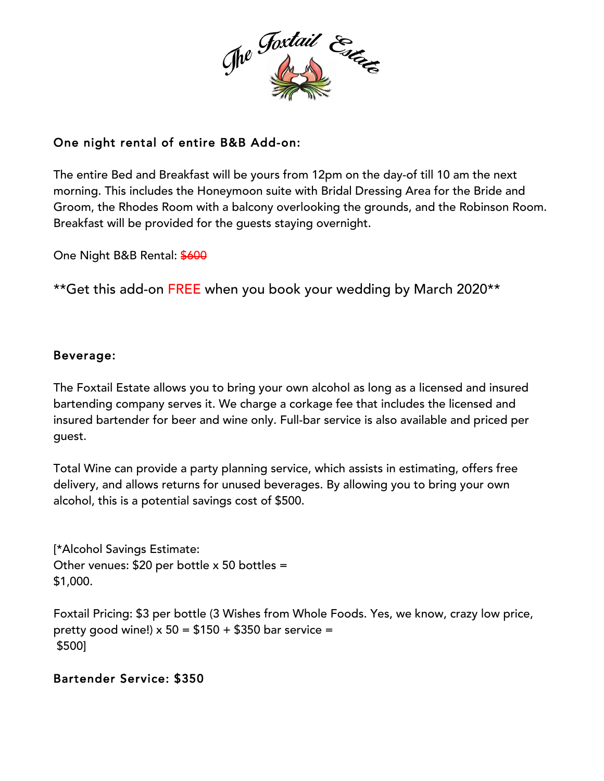

# One night rental of entire B&B Add-on:

The entire Bed and Breakfast will be yours from 12pm on the day-of till 10 am the next morning. This includes the Honeymoon suite with Bridal Dressing Area for the Bride and Groom, the Rhodes Room with a balcony overlooking the grounds, and the Robinson Room. Breakfast will be provided for the guests staying overnight.

One Night B&B Rental: \$600

\*\*Get this add-on FREE when you book your wedding by March 2020\*\*

### Beverage:

The Foxtail Estate allows you to bring your own alcohol as long as a licensed and insured bartending company serves it. We charge a corkage fee that includes the licensed and insured bartender for beer and wine only. Full-bar service is also available and priced per guest.

Total Wine can provide a party planning service, which assists in estimating, offers free delivery, and allows returns for unused beverages. By allowing you to bring your own alcohol, this is a potential savings cost of \$500.

[\*Alcohol Savings Estimate: Other venues: \$20 per bottle x 50 bottles = \$1,000.

Foxtail Pricing: \$3 per bottle (3 Wishes from Whole Foods. Yes, we know, crazy low price, pretty good wine!)  $x 50 = $150 + $350$  bar service = \$500]

# Bartender Service: \$350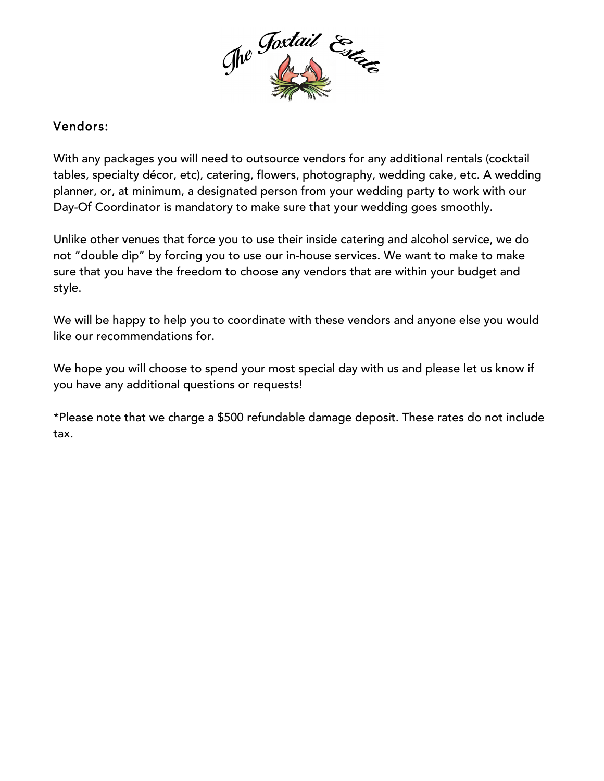

### Vendors:

With any packages you will need to outsource vendors for any additional rentals (cocktail tables, specialty décor, etc), catering, flowers, photography, wedding cake, etc. A wedding planner, or, at minimum, a designated person from your wedding party to work with our Day-Of Coordinator is mandatory to make sure that your wedding goes smoothly.

Unlike other venues that force you to use their inside catering and alcohol service, we do not "double dip" by forcing you to use our in-house services. We want to make to make sure that you have the freedom to choose any vendors that are within your budget and style.

We will be happy to help you to coordinate with these vendors and anyone else you would like our recommendations for.

We hope you will choose to spend your most special day with us and please let us know if you have any additional questions or requests!

\*Please note that we charge a \$500 refundable damage deposit. These rates do not include tax.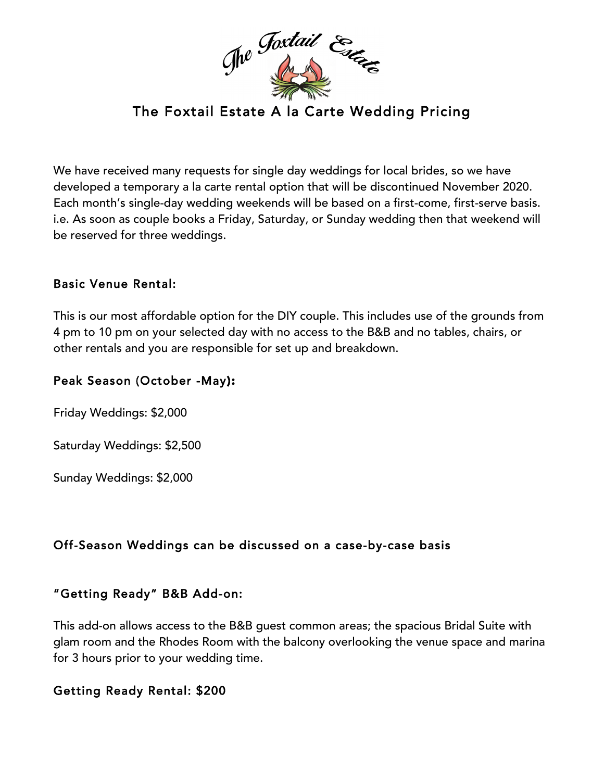

We have received many requests for single day weddings for local brides, so we have developed a temporary a la carte rental option that will be discontinued November 2020. Each month's single-day wedding weekends will be based on a first-come, first-serve basis. i.e. As soon as couple books a Friday, Saturday, or Sunday wedding then that weekend will be reserved for three weddings.

### Basic Venue Rental:

This is our most affordable option for the DIY couple. This includes use of the grounds from 4 pm to 10 pm on your selected day with no access to the B&B and no tables, chairs, or other rentals and you are responsible for set up and breakdown.

#### Peak Season (October -May):

Friday Weddings: \$2,000

Saturday Weddings: \$2,500

Sunday Weddings: \$2,000

### Off-Season Weddings can be discussed on a case-by-case basis

### "Getting Ready" B&B Add-on:

This add-on allows access to the B&B guest common areas; the spacious Bridal Suite with glam room and the Rhodes Room with the balcony overlooking the venue space and marina for 3 hours prior to your wedding time.

#### Getting Ready Rental: \$200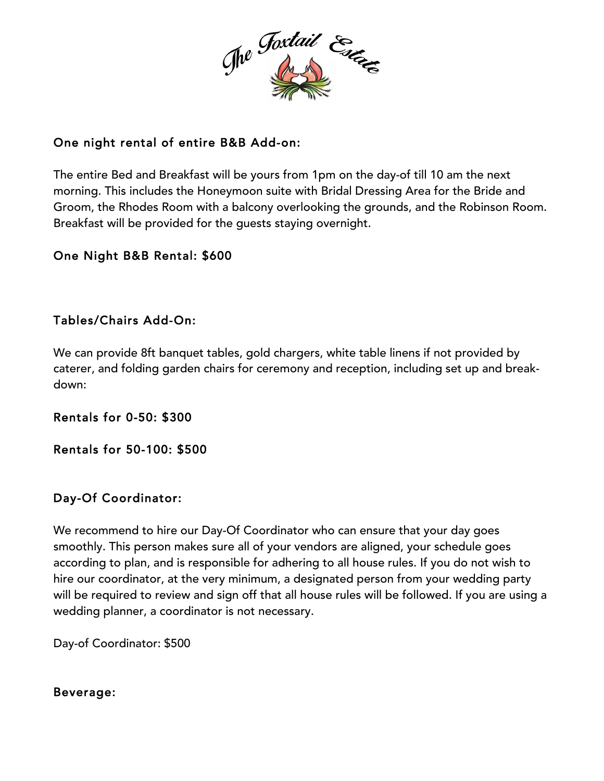

## One night rental of entire B&B Add-on:

The entire Bed and Breakfast will be yours from 1pm on the day-of till 10 am the next morning. This includes the Honeymoon suite with Bridal Dressing Area for the Bride and Groom, the Rhodes Room with a balcony overlooking the grounds, and the Robinson Room. Breakfast will be provided for the guests staying overnight.

### One Night B&B Rental: \$600

### Tables/Chairs Add-On:

We can provide 8ft banquet tables, gold chargers, white table linens if not provided by caterer, and folding garden chairs for ceremony and reception, including set up and breakdown:

Rentals for 0-50: \$300

Rentals for 50-100: \$500

### Day-Of Coordinator:

We recommend to hire our Day-Of Coordinator who can ensure that your day goes smoothly. This person makes sure all of your vendors are aligned, your schedule goes according to plan, and is responsible for adhering to all house rules. If you do not wish to hire our coordinator, at the very minimum, a designated person from your wedding party will be required to review and sign off that all house rules will be followed. If you are using a wedding planner, a coordinator is not necessary.

Day-of Coordinator: \$500

#### Beverage: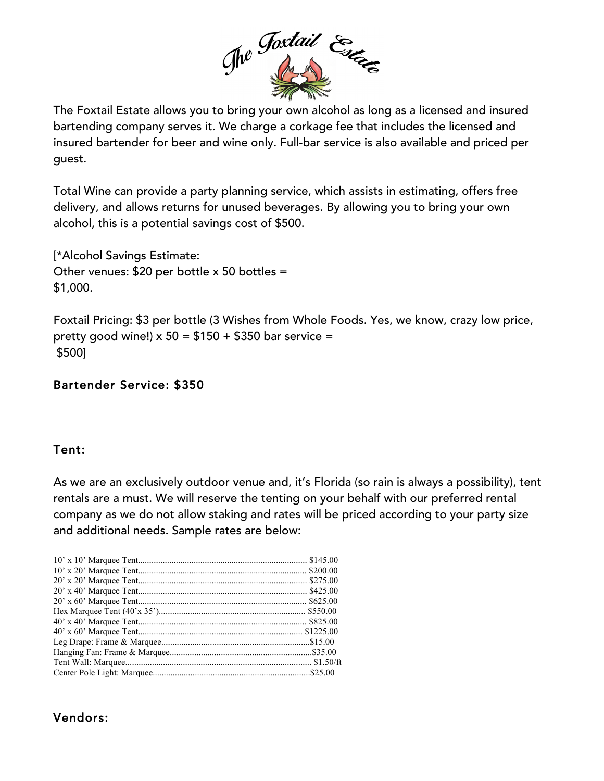

The Foxtail Estate allows you to bring your own alcohol as long as a licensed and insured bartending company serves it. We charge a corkage fee that includes the licensed and insured bartender for beer and wine only. Full-bar service is also available and priced per guest.

Total Wine can provide a party planning service, which assists in estimating, offers free delivery, and allows returns for unused beverages. By allowing you to bring your own alcohol, this is a potential savings cost of \$500.

[\*Alcohol Savings Estimate: Other venues: \$20 per bottle x 50 bottles = \$1,000.

Foxtail Pricing: \$3 per bottle (3 Wishes from Whole Foods. Yes, we know, crazy low price, pretty good wine!)  $x 50 = $150 + $350$  bar service = \$500]

### Bartender Service: \$350

#### Tent:

As we are an exclusively outdoor venue and, it's Florida (so rain is always a possibility), tent rentals are a must. We will reserve the tenting on your behalf with our preferred rental company as we do not allow staking and rates will be priced according to your party size and additional needs. Sample rates are below:

### Vendors: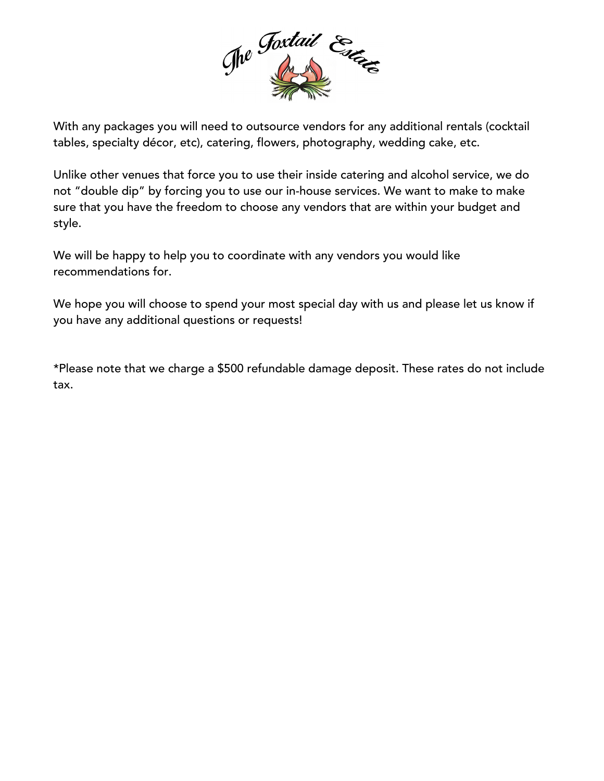

With any packages you will need to outsource vendors for any additional rentals (cocktail tables, specialty décor, etc), catering, flowers, photography, wedding cake, etc.

Unlike other venues that force you to use their inside catering and alcohol service, we do not "double dip" by forcing you to use our in-house services. We want to make to make sure that you have the freedom to choose any vendors that are within your budget and style.

We will be happy to help you to coordinate with any vendors you would like recommendations for.

We hope you will choose to spend your most special day with us and please let us know if you have any additional questions or requests!

\*Please note that we charge a \$500 refundable damage deposit. These rates do not include tax.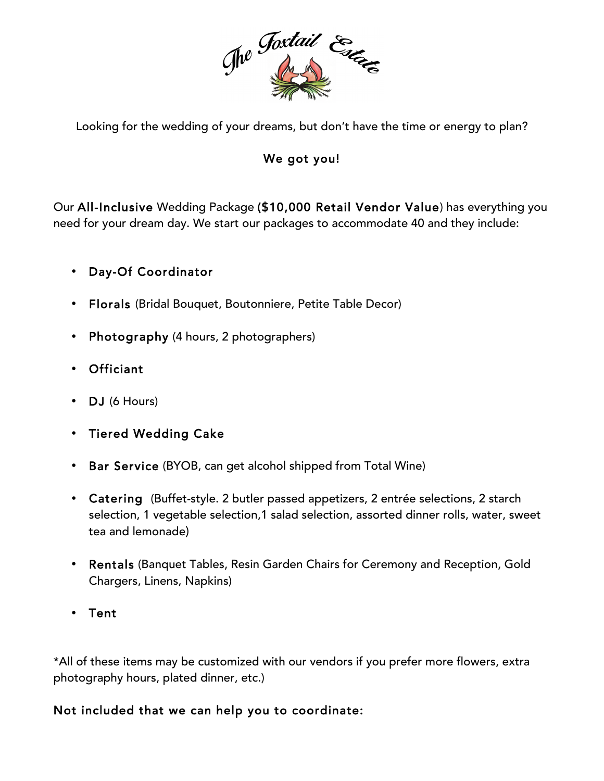

Looking for the wedding of your dreams, but don't have the time or energy to plan?

# We got you!

Our All-Inclusive Wedding Package (\$10,000 Retail Vendor Value) has everything you need for your dream day. We start our packages to accommodate 40 and they include:

# • Day-Of Coordinator

- Florals (Bridal Bouquet, Boutonniere, Petite Table Decor)
- Photography (4 hours, 2 photographers)
- Officiant
- DJ (6 Hours)
- Tiered Wedding Cake
- Bar Service (BYOB, can get alcohol shipped from Total Wine)
- Catering (Buffet-style. 2 butler passed appetizers, 2 entrée selections, 2 starch selection, 1 vegetable selection,1 salad selection, assorted dinner rolls, water, sweet tea and lemonade)
- Rentals (Banquet Tables, Resin Garden Chairs for Ceremony and Reception, Gold Chargers, Linens, Napkins)
- Tent

\*All of these items may be customized with our vendors if you prefer more flowers, extra photography hours, plated dinner, etc.)

### Not included that we can help you to coordinate: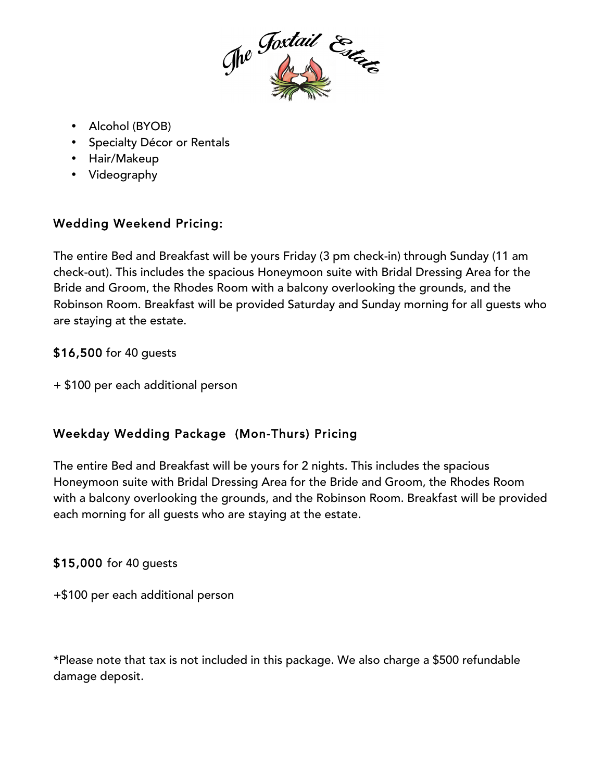

- Alcohol (BYOB)
- Specialty Décor or Rentals
- Hair/Makeup
- Videography

# Wedding Weekend Pricing:

The entire Bed and Breakfast will be yours Friday (3 pm check-in) through Sunday (11 am check-out). This includes the spacious Honeymoon suite with Bridal Dressing Area for the Bride and Groom, the Rhodes Room with a balcony overlooking the grounds, and the Robinson Room. Breakfast will be provided Saturday and Sunday morning for all guests who are staying at the estate.

### \$16,500 for 40 guests

+ \$100 per each additional person

# Weekday Wedding Package (Mon-Thurs) Pricing

The entire Bed and Breakfast will be yours for 2 nights. This includes the spacious Honeymoon suite with Bridal Dressing Area for the Bride and Groom, the Rhodes Room with a balcony overlooking the grounds, and the Robinson Room. Breakfast will be provided each morning for all guests who are staying at the estate.

# \$15,000 for 40 guests

+\$100 per each additional person

\*Please note that tax is not included in this package. We also charge a \$500 refundable damage deposit.